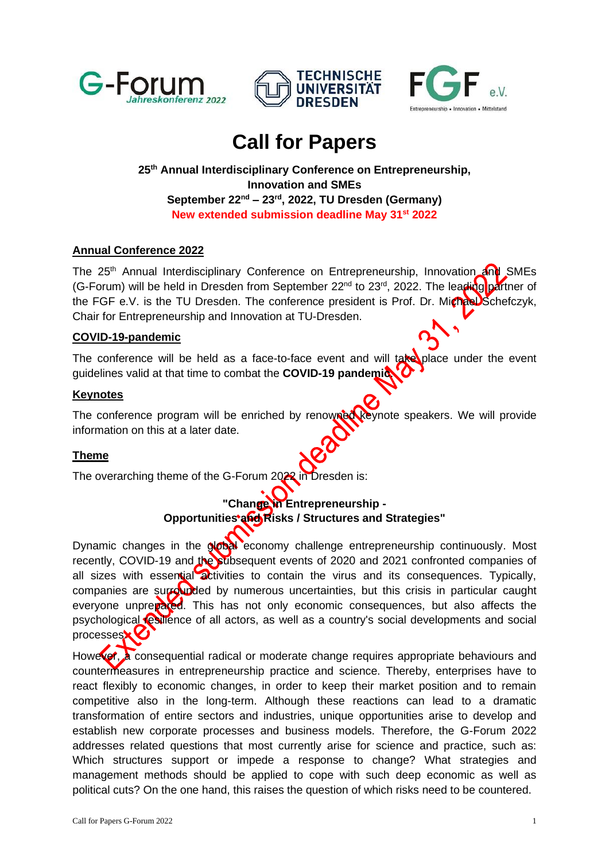





# **Call for Papers**

# **25 th Annual Interdisciplinary Conference on Entrepreneurship, Innovation and SMEs September 22 nd – 23 rd , 2022, TU Dresden (Germany) New extended submission deadline May 31st 2022**

# **Annual Conference 2022**

The 25<sup>th</sup> Annual Interdisciplinary Conference on Entrepreneurship, Innovation and SMEs (G-Forum) will be held in Dresden from September 22<sup>nd</sup> to 23<sup>rd</sup>, 2022. The leading partner of the FGF e.V. is the TU Dresden. The conference president is Prof. Dr. Michael Schefczyk, Chair for Entrepreneurship and Innovation at TU-Dresden.

#### **COVID-19-pandemic**

The conference will be held as a face-to-face event and will take place under the event guidelines valid at that time to combat the **COVID-19 pandemic**.

#### **Keynotes**

The conference program will be enriched by renowned keynote speakers. We will provide information on this at a later date.

#### **Theme**

The overarching theme of the G-Forum 2022 in Dresden is:

# **"Change in Entrepreneurship - Opportunities and Risks / Structures and Strategies"**

Dynamic changes in the global economy challenge entrepreneurship continuously. Most recently, COVID-19 and the subsequent events of 2020 and 2021 confronted companies of all sizes with essential activities to contain the virus and its consequences. Typically, companies are surrounded by numerous uncertainties, but this crisis in particular caught everyone unprepared. This has not only economic consequences, but also affects the psychological resilience of all actors, as well as a country's social developments and social processes $\mathbf{\kappa}$  $\mathbf{\Theta}$ 

However, a consequential radical or moderate change requires appropriate behaviours and countermeasures in entrepreneurship practice and science. Thereby, enterprises have to react flexibly to economic changes, in order to keep their market position and to remain competitive also in the long-term. Although these reactions can lead to a dramatic transformation of entire sectors and industries, unique opportunities arise to develop and establish new corporate processes and business models. Therefore, the G-Forum 2022 addresses related questions that most currently arise for science and practice, such as: Which structures support or impede a response to change? What strategies and management methods should be applied to cope with such deep economic as well as political cuts? On the one hand, this raises the question of which risks need to be countered.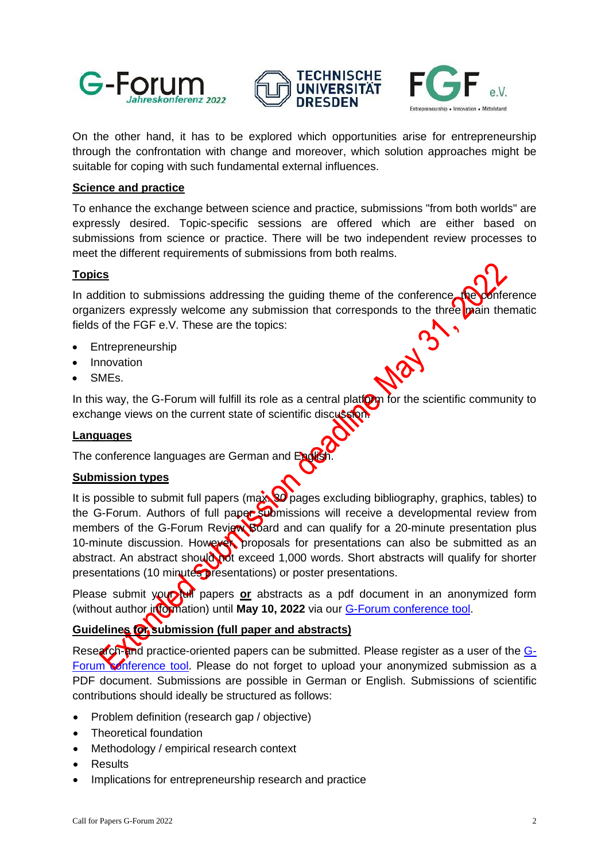





On the other hand, it has to be explored which opportunities arise for entrepreneurship through the confrontation with change and moreover, which solution approaches might be suitable for coping with such fundamental external influences.

#### **Science and practice**

To enhance the exchange between science and practice, submissions "from both worlds" are expressly desired. Topic-specific sessions are offered which are either based on submissions from science or practice. There will be two independent review processes to meet the different requirements of submissions from both realms.

#### **Topics**

In addition to submissions addressing the quiding theme of the conference, the conference organizers expressly welcome any submission that corresponds to the three main thematic fields of the FGF e.V. These are the topics:

- **Entrepreneurship**
- **Innovation**
- SMEs.

In this way, the G-Forum will fulfill its role as a central plation for the scientific community to exchange views on the current state of scientific discussion.

#### **Languages**

The conference languages are German and English

#### **Submission types**

It is possible to submit full papers (max. 30 pages excluding bibliography, graphics, tables) to the G-Forum. Authors of full paper submissions will receive a developmental review from members of the G-Forum Review Board and can qualify for a 20-minute presentation plus 10-minute discussion. However, proposals for presentations can also be submitted as an abstract. An abstract should not exceed 1,000 words. Short abstracts will qualify for shorter presentations (10 minutes presentations) or poster presentations.

Please submit your full papers or abstracts as a pdf document in an anonymized form (without author information) until May 10, 2022 via our [G-Forum conference tool.](https://www.conftool.com/g-forum2022/index.php?page=login&lang=1)

# **Guidelines for submission (full paper and abstracts)**

Research-and practice-oriented papers can be submitted. Please register as a user of the [G-](https://www.conftool.com/g-forum2022/index.php?page=login&lang=1)[Forum conference tool.](https://www.conftool.com/g-forum2022/index.php?page=login&lang=1) Please do not forget to upload your anonymized submission as a PDF document. Submissions are possible in German or English. Submissions of scientific contributions should ideally be structured as follows:

- Problem definition (research gap / objective)
- Theoretical foundation
- Methodology / empirical research context
- Results
- Implications for entrepreneurship research and practice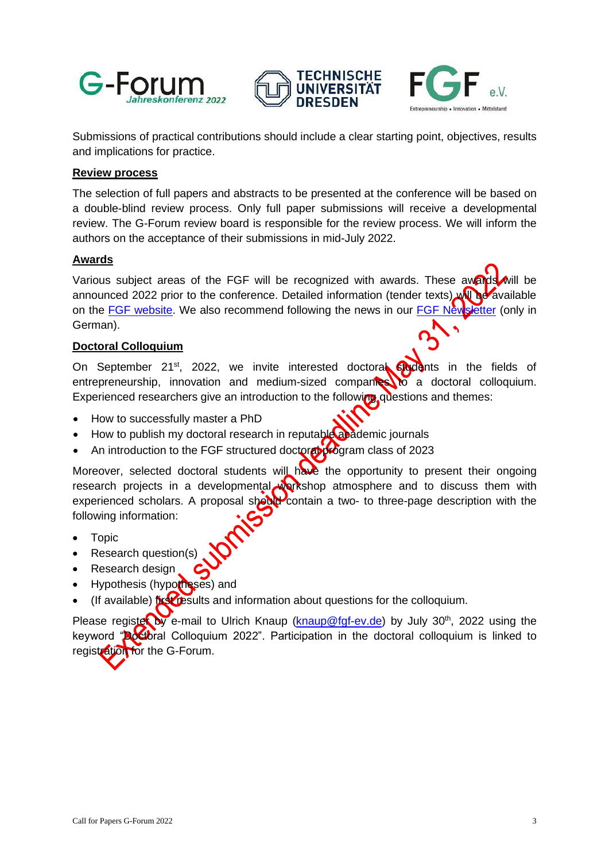





Submissions of practical contributions should include a clear starting point, objectives, results and implications for practice.

#### **Review process**

The selection of full papers and abstracts to be presented at the conference will be based on a double-blind review process. Only full paper submissions will receive a developmental review. The G-Forum review board is responsible for the review process. We will inform the authors on the acceptance of their submissions in mid-July 2022.

#### **Awards**

Various subject areas of the FGF will be recognized with awards. These awards will be announced 2022 prior to the conference. Detailed information (tender texts) will be available on the [FGF website.](https://www.fgf-ev.de/) We also recommend following the news in our [FGF Newsletter](https://www.fgf-ev.de/newsletter-2/) (only in German).

#### **Doctoral Colloquium**

On September 21<sup>st</sup>, 2022, we invite interested doctoral **Students** in the fields of entrepreneurship, innovation and medium-sized companies to a doctoral colloquium. Experienced researchers give an introduction to the following questions and themes:

- How to successfully master a PhD
- How to publish my doctoral research in reputable academic journals
- An introduction to the FGF structured doctoral program class of 2023

Moreover, selected doctoral students will have the opportunity to present their ongoing research projects in a developmental workshop atmosphere and to discuss them with experienced scholars. A proposal should contain a two- to three-page description with the following information:

- Topic
- Research question(s)
- Research design
- Hypothesis (hypotheses) and
- (If available) first results and information about questions for the colloquium.

Please register by e-mail to Ulrich Knaup [\(knaup@fgf-ev.de\)](mailto:knaup@fgf-ev.de) by July 30<sup>th</sup>, 2022 using the keyword "**Bostoral Colloquium 2022**". Participation in the doctoral colloquium is linked to registration for the G-Forum.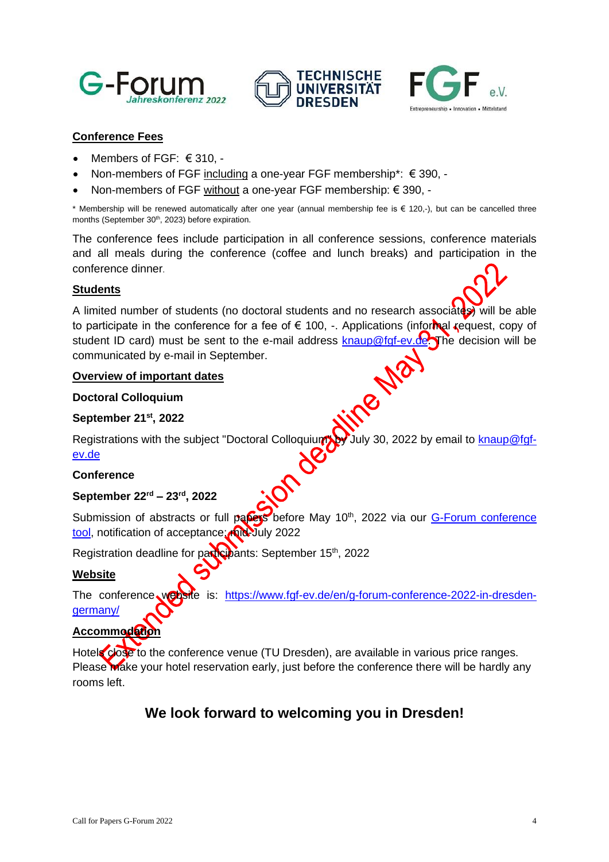





# **Conference Fees**

- Members of FGF: € 310, -
- Non-members of FGF including a one-year FGF membership\*: € 390, -
- Non-members of FGF without a one-year FGF membership: € 390, -

\* Membership will be renewed automatically after one year (annual membership fee is € 120,-), but can be cancelled three months (September 30<sup>th</sup>, 2023) before expiration.

The conference fees include participation in all conference sessions, conference materials and all meals during the conference (coffee and lunch breaks) and participation in the conference dinner.

#### **Students**

A limited number of students (no doctoral students and no research associates) will be able to participate in the conference for a fee of  $\epsilon$  100, -. Applications (informal request, copy of student ID card) must be sent to the e-mail address [knaup@fgf-ev.de.](mailto:knaup@fgf-ev.de) The decision will be communicated by e-mail in September.<br>
Overview of important dates<br>
Doctoral Colloquium<br>
September 21<sup>st</sup> 2000 communicated by e-mail in September.

#### **Overview of important dates**

#### **Doctoral Colloquium**

#### **September 21 st, 2022**

Registrations with the subject "Doctoral Colloquium" by July 30, 2022 by email to [knaup@fgf](mailto:knaup@fgf-ev.de)[ev.de](mailto:knaup@fgf-ev.de)

# **Conference**

# **September 22 rd – 23 rd, 2022**

Submission of abstracts or full papers before May 10<sup>th</sup>, 2022 via our G-Forum conference [tool,](https://www.conftool.com/g-forum2022/index.php?page=login&lang=1) notification of acceptance: mid-July 2022

Registration deadline for participants: September 15<sup>th</sup>, 2022

#### **Website**

The conference website is: [https://www.fgf-ev.de/en/g-forum-conference-2022-in-dresden](https://www.fgf-ev.de/en/g-forum-conference-2022-in-dresden-germany/)[germany/](https://www.fgf-ev.de/en/g-forum-conference-2022-in-dresden-germany/)

# Accommodation

Hotels close to the conference venue (TU Dresden), are available in various price ranges. Please **Make your hotel reservation early, just before the conference there will be hardly any** rooms left.

# **We look forward to welcoming you in Dresden!**